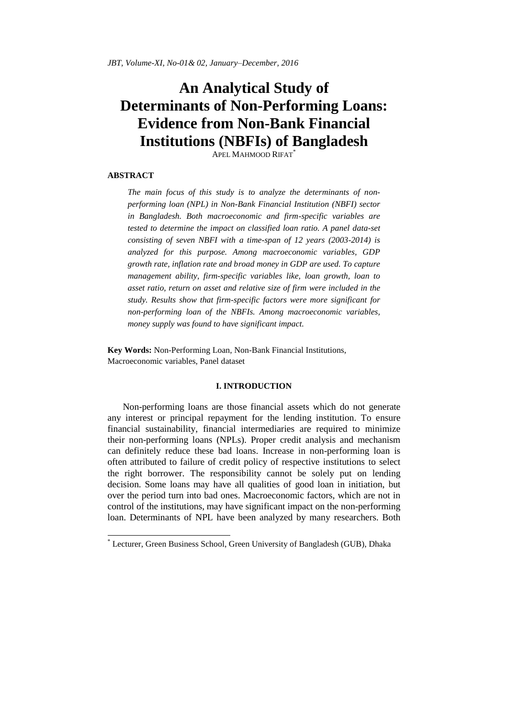*JBT, Volume-XI, No-01& 02, January–December, 2016*

# **An Analytical Study of Determinants of Non-Performing Loans: Evidence from Non-Bank Financial Institutions (NBFIs) of Bangladesh**

APEL MAHMOOD RIFAT\*

# **ABSTRACT**

<u>.</u>

*The main focus of this study is to analyze the determinants of nonperforming loan (NPL) in Non-Bank Financial Institution (NBFI) sector in Bangladesh. Both macroeconomic and firm-specific variables are tested to determine the impact on classified loan ratio. A panel data-set consisting of seven NBFI with a time-span of 12 years (2003-2014) is analyzed for this purpose. Among macroeconomic variables, GDP growth rate, inflation rate and broad money in GDP are used. To capture management ability, firm-specific variables like, loan growth, loan to asset ratio, return on asset and relative size of firm were included in the study. Results show that firm-specific factors were more significant for non-performing loan of the NBFIs. Among macroeconomic variables, money supply was found to have significant impact.*

**Key Words:** Non-Performing Loan, Non-Bank Financial Institutions, Macroeconomic variables, Panel dataset

# **I. INTRODUCTION**

Non-performing loans are those financial assets which do not generate any interest or principal repayment for the lending institution. To ensure financial sustainability, financial intermediaries are required to minimize their non-performing loans (NPLs). Proper credit analysis and mechanism can definitely reduce these bad loans. Increase in non-performing loan is often attributed to failure of credit policy of respective institutions to select the right borrower. The responsibility cannot be solely put on lending decision. Some loans may have all qualities of good loan in initiation, but over the period turn into bad ones. Macroeconomic factors, which are not in control of the institutions, may have significant impact on the non-performing loan. Determinants of NPL have been analyzed by many researchers. Both

<sup>\*</sup> Lecturer, Green Business School, Green University of Bangladesh (GUB), Dhaka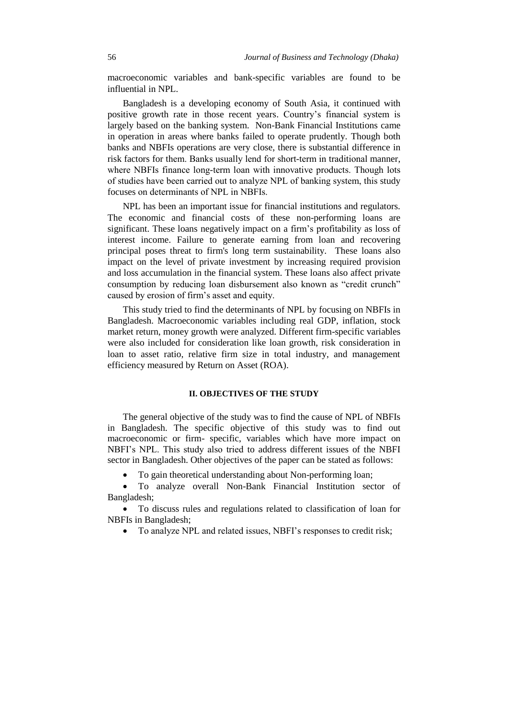macroeconomic variables and bank-specific variables are found to be influential in NPL.

Bangladesh is a developing economy of South Asia, it continued with positive growth rate in those recent years. Country"s financial system is largely based on the banking system. Non-Bank Financial Institutions came in operation in areas where banks failed to operate prudently. Though both banks and NBFIs operations are very close, there is substantial difference in risk factors for them. Banks usually lend for short-term in traditional manner, where NBFIs finance long-term loan with innovative products. Though lots of studies have been carried out to analyze NPL of banking system, this study focuses on determinants of NPL in NBFIs.

NPL has been an important issue for financial institutions and regulators. The economic and financial costs of these non-performing loans are significant. These loans negatively impact on a firm"s profitability as loss of interest income. Failure to generate earning from loan and recovering principal poses threat to firm's long term sustainability. These loans also impact on the level of private investment by increasing required provision and loss accumulation in the financial system. These loans also affect private consumption by reducing loan disbursement also known as "credit crunch" caused by erosion of firm"s asset and equity.

This study tried to find the determinants of NPL by focusing on NBFIs in Bangladesh. Macroeconomic variables including real GDP, inflation, stock market return, money growth were analyzed. Different firm-specific variables were also included for consideration like loan growth, risk consideration in loan to asset ratio, relative firm size in total industry, and management efficiency measured by Return on Asset (ROA).

# **II. OBJECTIVES OF THE STUDY**

The general objective of the study was to find the cause of NPL of NBFIs in Bangladesh. The specific objective of this study was to find out macroeconomic or firm- specific, variables which have more impact on NBFI"s NPL. This study also tried to address different issues of the NBFI sector in Bangladesh. Other objectives of the paper can be stated as follows:

To gain theoretical understanding about Non-performing loan;

 To analyze overall Non-Bank Financial Institution sector of Bangladesh;

 To discuss rules and regulations related to classification of loan for NBFIs in Bangladesh;

• To analyze NPL and related issues, NBFI's responses to credit risk;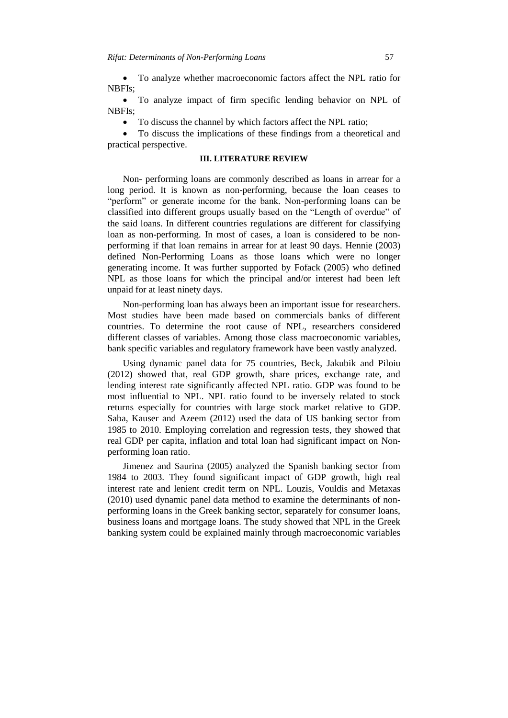To analyze whether macroeconomic factors affect the NPL ratio for NBFIs;

 To analyze impact of firm specific lending behavior on NPL of NBFIs;

• To discuss the channel by which factors affect the NPL ratio;

 To discuss the implications of these findings from a theoretical and practical perspective.

## **III. LITERATURE REVIEW**

Non- performing loans are commonly described as loans in arrear for a long period. It is known as non-performing, because the loan ceases to "perform" or generate income for the bank. Non-performing loans can be classified into different groups usually based on the "Length of overdue" of the said loans. In different countries regulations are different for classifying loan as non-performing. In most of cases, a loan is considered to be nonperforming if that loan remains in arrear for at least 90 days. Hennie (2003) defined Non-Performing Loans as those loans which were no longer generating income. It was further supported by Fofack (2005) who defined NPL as those loans for which the principal and/or interest had been left unpaid for at least ninety days.

Non-performing loan has always been an important issue for researchers. Most studies have been made based on commercials banks of different countries. To determine the root cause of NPL, researchers considered different classes of variables. Among those class macroeconomic variables, bank specific variables and regulatory framework have been vastly analyzed.

Using dynamic panel data for 75 countries, Beck, Jakubik and Piloiu (2012) showed that, real GDP growth, share prices, exchange rate, and lending interest rate significantly affected NPL ratio. GDP was found to be most influential to NPL. NPL ratio found to be inversely related to stock returns especially for countries with large stock market relative to GDP. Saba, Kauser and Azeem (2012) used the data of US banking sector from 1985 to 2010. Employing correlation and regression tests, they showed that real GDP per capita, inflation and total loan had significant impact on Nonperforming loan ratio.

Jimenez and Saurina (2005) analyzed the Spanish banking sector from 1984 to 2003. They found significant impact of GDP growth, high real interest rate and lenient credit term on NPL. Louzis, Vouldis and Metaxas (2010) used dynamic panel data method to examine the determinants of nonperforming loans in the Greek banking sector, separately for consumer loans, business loans and mortgage loans. The study showed that NPL in the Greek banking system could be explained mainly through macroeconomic variables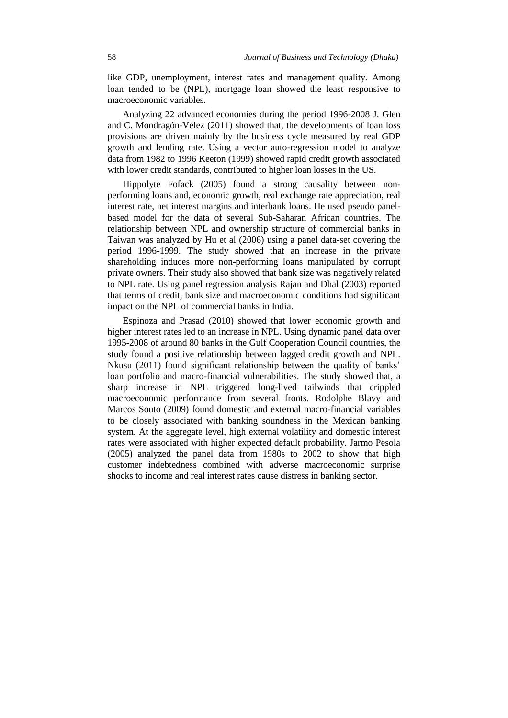like GDP, unemployment, interest rates and management quality. Among loan tended to be (NPL), mortgage loan showed the least responsive to macroeconomic variables.

Analyzing 22 advanced economies during the period 1996-2008 J. Glen and C. Mondragón-Vélez (2011) showed that, the developments of loan loss provisions are driven mainly by the business cycle measured by real GDP growth and lending rate. Using a vector auto-regression model to analyze data from 1982 to 1996 Keeton (1999) showed rapid credit growth associated with lower credit standards, contributed to higher loan losses in the US.

Hippolyte Fofack (2005) found a strong causality between nonperforming loans and, economic growth, real exchange rate appreciation, real interest rate, net interest margins and interbank loans. He used pseudo panelbased model for the data of several Sub-Saharan African countries. The relationship between NPL and ownership structure of commercial banks in Taiwan was analyzed by Hu et al (2006) using a panel data-set covering the period 1996-1999. The study showed that an increase in the private shareholding induces more non-performing loans manipulated by corrupt private owners. Their study also showed that bank size was negatively related to NPL rate. Using panel regression analysis Rajan and Dhal (2003) reported that terms of credit, bank size and macroeconomic conditions had significant impact on the NPL of commercial banks in India.

Espinoza and Prasad (2010) showed that lower economic growth and higher interest rates led to an increase in NPL. Using dynamic panel data over 1995-2008 of around 80 banks in the Gulf Cooperation Council countries, the study found a positive relationship between lagged credit growth and NPL. Nkusu (2011) found significant relationship between the quality of banks' loan portfolio and macro-financial vulnerabilities. The study showed that, a sharp increase in NPL triggered long-lived tailwinds that crippled macroeconomic performance from several fronts. Rodolphe Blavy and Marcos Souto (2009) found domestic and external macro-financial variables to be closely associated with banking soundness in the Mexican banking system. At the aggregate level, high external volatility and domestic interest rates were associated with higher expected default probability. Jarmo Pesola (2005) analyzed the panel data from 1980s to 2002 to show that high customer indebtedness combined with adverse macroeconomic surprise shocks to income and real interest rates cause distress in banking sector.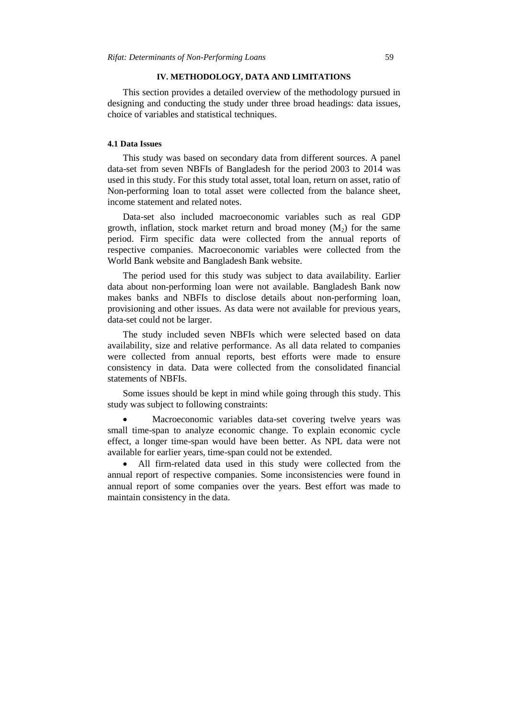# **IV. METHODOLOGY, DATA AND LIMITATIONS**

This section provides a detailed overview of the methodology pursued in designing and conducting the study under three broad headings: data issues, choice of variables and statistical techniques.

# **4.1 Data Issues**

This study was based on secondary data from different sources. A panel data-set from seven NBFIs of Bangladesh for the period 2003 to 2014 was used in this study. For this study total asset, total loan, return on asset, ratio of Non-performing loan to total asset were collected from the balance sheet, income statement and related notes.

Data-set also included macroeconomic variables such as real GDP growth, inflation, stock market return and broad money  $(M_2)$  for the same period. Firm specific data were collected from the annual reports of respective companies. Macroeconomic variables were collected from the World Bank website and Bangladesh Bank website.

The period used for this study was subject to data availability. Earlier data about non-performing loan were not available. Bangladesh Bank now makes banks and NBFIs to disclose details about non-performing loan, provisioning and other issues. As data were not available for previous years, data-set could not be larger.

The study included seven NBFIs which were selected based on data availability, size and relative performance. As all data related to companies were collected from annual reports, best efforts were made to ensure consistency in data. Data were collected from the consolidated financial statements of NBFIs.

Some issues should be kept in mind while going through this study. This study was subject to following constraints:

 Macroeconomic variables data-set covering twelve years was small time-span to analyze economic change. To explain economic cycle effect, a longer time-span would have been better. As NPL data were not available for earlier years, time-span could not be extended.

 All firm-related data used in this study were collected from the annual report of respective companies. Some inconsistencies were found in annual report of some companies over the years. Best effort was made to maintain consistency in the data.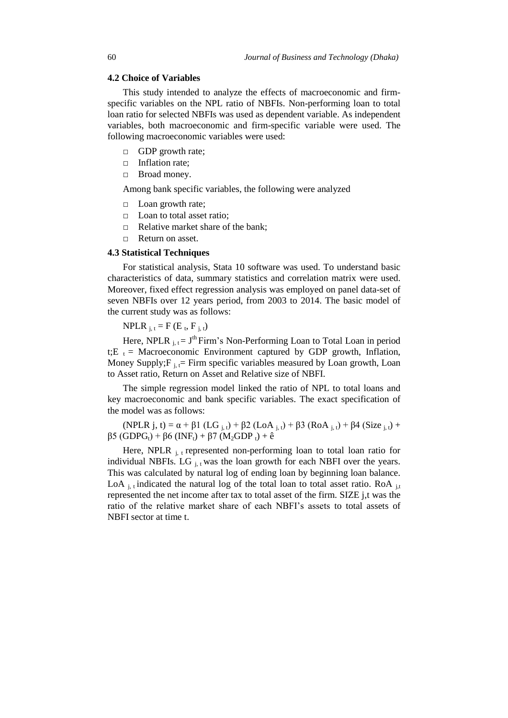# **4.2 Choice of Variables**

This study intended to analyze the effects of macroeconomic and firmspecific variables on the NPL ratio of NBFIs. Non-performing loan to total loan ratio for selected NBFIs was used as dependent variable. As independent variables, both macroeconomic and firm-specific variable were used. The following macroeconomic variables were used:

- □ GDP growth rate;
- □ Inflation rate;
- □ Broad money.

Among bank specific variables, the following were analyzed

- □ Loan growth rate;
- □ Loan to total asset ratio;
- $\Box$  Relative market share of the bank;
- □ Return on asset.

## **4.3 Statistical Techniques**

For statistical analysis, Stata 10 software was used. To understand basic characteristics of data, summary statistics and correlation matrix were used. Moreover, fixed effect regression analysis was employed on panel data-set of seven NBFIs over 12 years period, from 2003 to 2014. The basic model of the current study was as follows:

NPLR  $_{j, t} = F(E_t, F_{j, t})$ 

Here, NPLR  $_{j,t} = J<sup>th</sup>$  Firm's Non-Performing Loan to Total Loan in period t; E<sub>t</sub> = Macroeconomic Environment captured by GDP growth, Inflation, Money Supply;  $F_{i, t}$  = Firm specific variables measured by Loan growth, Loan to Asset ratio, Return on Asset and Relative size of NBFI.

The simple regression model linked the ratio of NPL to total loans and key macroeconomic and bank specific variables. The exact specification of the model was as follows:

(NPLR j, t) =  $\alpha$  +  $\beta$ 1 (LG <sub>j, t</sub>) +  $\beta$ 2 (LoA <sub>j, t</sub>) +  $\beta$ 3 (RoA <sub>j, t</sub>) +  $\beta$ 4 (Size <sub>j, t</sub>) +  $β5 (GDPG<sub>t</sub>) + β6 (INF<sub>t</sub>) + β7 (M<sub>2</sub>GDP<sub>t</sub>) + ê$ 

Here, NPLR  $_{j,t}$  represented non-performing loan to total loan ratio for individual NBFIs. LG  $_{i,t}$  was the loan growth for each NBFI over the years. This was calculated by natural log of ending loan by beginning loan balance. LoA  $_{i,t}$  indicated the natural log of the total loan to total asset ratio. RoA  $_{i,t}$ represented the net income after tax to total asset of the firm. SIZE j,t was the ratio of the relative market share of each NBFI"s assets to total assets of NBFI sector at time t.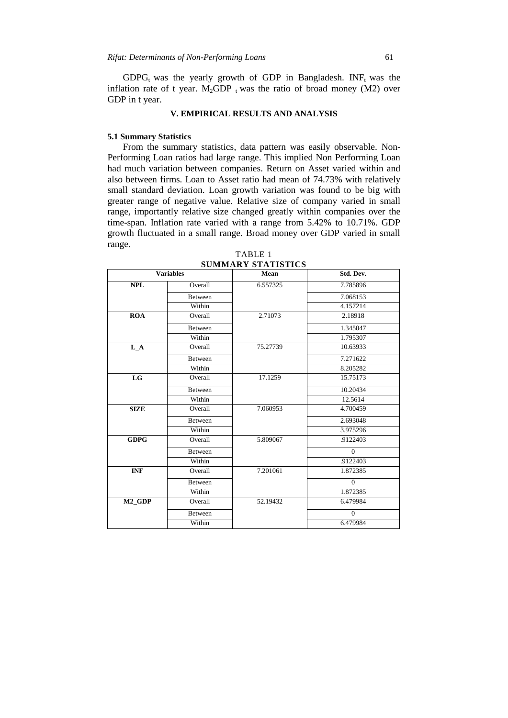$GDPG_t$  was the yearly growth of GDP in Bangladesh. INF<sub>t</sub> was the inflation rate of t year.  $M_2GDP_t$  was the ratio of broad money (M2) over GDP in t year.

# **V. EMPIRICAL RESULTS AND ANALYSIS**

## **5.1 Summary Statistics**

From the summary statistics, data pattern was easily observable. Non-Performing Loan ratios had large range. This implied Non Performing Loan had much variation between companies. Return on Asset varied within and also between firms. Loan to Asset ratio had mean of 74.73% with relatively small standard deviation. Loan growth variation was found to be big with greater range of negative value. Relative size of company varied in small range, importantly relative size changed greatly within companies over the time-span. Inflation rate varied with a range from 5.42% to 10.71%. GDP growth fluctuated in a small range. Broad money over GDP varied in small range.

|                    | <b>Variables</b> | Mean     | Std. Dev. |
|--------------------|------------------|----------|-----------|
| <b>NPL</b>         | Overall          | 6.557325 | 7.785896  |
|                    | Between          |          | 7.068153  |
|                    | Within           |          | 4.157214  |
| <b>ROA</b>         | Overall          | 2.71073  | 2.18918   |
|                    | Between          |          | 1.345047  |
|                    | Within           |          | 1.795307  |
| $L_A$              | Overall          | 75.27739 | 10.63933  |
|                    | Between          |          | 7.271622  |
|                    | Within           |          | 8.205282  |
| LG                 | Overall          | 17.1259  | 15.75173  |
|                    | Between          |          | 10.20434  |
|                    | Within           |          | 12.5614   |
| <b>SIZE</b>        | Overall          | 7.060953 | 4.700459  |
|                    | Between          |          | 2.693048  |
|                    | Within           |          | 3.975296  |
| <b>GDPG</b>        | Overall          | 5.809067 | .9122403  |
|                    | Between          |          | $\Omega$  |
|                    | Within           |          | .9122403  |
| <b>INF</b>         | Overall          | 7.201061 | 1.872385  |
|                    | Between          |          | $\Omega$  |
|                    | Within           |          | 1.872385  |
| M <sub>2</sub> GDP | Overall          | 52.19432 | 6.479984  |
|                    | Between          |          | $\Omega$  |
|                    | Within           |          | 6.479984  |

TABLE 1 **SUMMARY STATISTICS**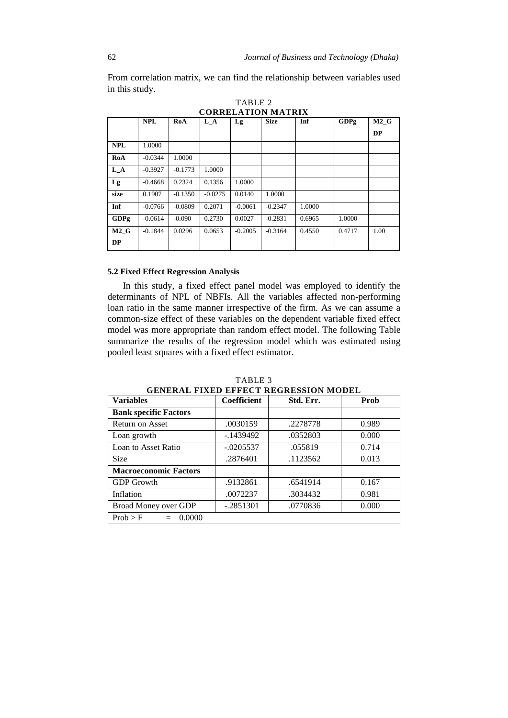**NPL RoA L\_A Lg Size Inf GDPg M2\_G DP NPL** 1.0000 **RoA**  $-0.0344$  1.0000 **L A**  $\blacksquare$  -0.3927  $\blacksquare$  -0.1773 1.0000 **Lg** -0.4668 0.2324 0.1356 1.0000 **size** 0.1907 -0.1350 -0.0275 0.0140 1.0000 **Inf** -0.0766 -0.0809 0.2071 -0.0061 -0.2347 1.0000 **GDPg** | -0.0614 | -0.090 | 0.2730 | 0.0027 | -0.2831 | 0.6965 | 1.0000 **M2\_G DP** -0.1844 0.0296 0.0653 -0.2005 -0.3164 0.4550 0.4717 1.00

TABLE 2 **CORRELATION MATRIX**

From correlation matrix, we can find the relationship between variables used

## **5.2 Fixed Effect Regression Analysis**

In this study, a fixed effect panel model was employed to identify the determinants of NPL of NBFIs. All the variables affected non-performing loan ratio in the same manner irrespective of the firm. As we can assume a common-size effect of these variables on the dependent variable fixed effect model was more appropriate than random effect model. The following Table summarize the results of the regression model which was estimated using pooled least squares with a fixed effect estimator.

#### TABLE 3

**GENERAL FIXED EFFECT REGRESSION MODEL**

| <b>Variables</b>             | Coefficient | Std. Err. | Prob  |
|------------------------------|-------------|-----------|-------|
| <b>Bank specific Factors</b> |             |           |       |
| Return on Asset              | .0030159    | .2278778  | 0.989 |
| Loan growth                  | $-1439492$  | .0352803  | 0.000 |
| Loan to Asset Ratio          | $-.0205537$ | .055819   | 0.714 |
| Size                         | .2876401    | .1123562  | 0.013 |
| <b>Macroeconomic Factors</b> |             |           |       |
| <b>GDP</b> Growth            | .9132861    | .6541914  | 0.167 |
| Inflation                    | .0072237    | .3034432  | 0.981 |
| Broad Money over GDP         | $-.2851301$ | .0770836  | 0.000 |
| Prob > F<br>0.0000<br>$=$    |             |           |       |

in this study.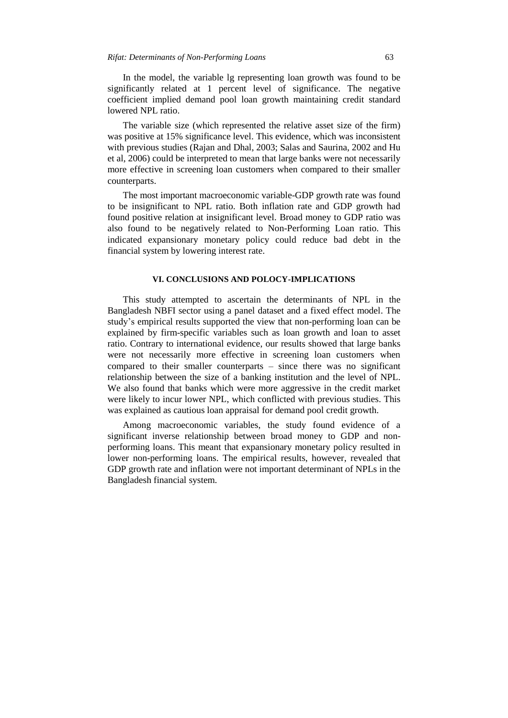In the model, the variable lg representing loan growth was found to be significantly related at 1 percent level of significance. The negative coefficient implied demand pool loan growth maintaining credit standard lowered NPL ratio.

The variable size (which represented the relative asset size of the firm) was positive at 15% significance level. This evidence, which was inconsistent with previous studies (Rajan and Dhal, 2003; Salas and Saurina, 2002 and Hu et al, 2006) could be interpreted to mean that large banks were not necessarily more effective in screening loan customers when compared to their smaller counterparts.

The most important macroeconomic variable-GDP growth rate was found to be insignificant to NPL ratio. Both inflation rate and GDP growth had found positive relation at insignificant level. Broad money to GDP ratio was also found to be negatively related to Non-Performing Loan ratio. This indicated expansionary monetary policy could reduce bad debt in the financial system by lowering interest rate.

## **VI. CONCLUSIONS AND POLOCY-IMPLICATIONS**

This study attempted to ascertain the determinants of NPL in the Bangladesh NBFI sector using a panel dataset and a fixed effect model. The study"s empirical results supported the view that non-performing loan can be explained by firm-specific variables such as loan growth and loan to asset ratio. Contrary to international evidence, our results showed that large banks were not necessarily more effective in screening loan customers when compared to their smaller counterparts – since there was no significant relationship between the size of a banking institution and the level of NPL. We also found that banks which were more aggressive in the credit market were likely to incur lower NPL, which conflicted with previous studies. This was explained as cautious loan appraisal for demand pool credit growth.

Among macroeconomic variables, the study found evidence of a significant inverse relationship between broad money to GDP and nonperforming loans. This meant that expansionary monetary policy resulted in lower non-performing loans. The empirical results, however, revealed that GDP growth rate and inflation were not important determinant of NPLs in the Bangladesh financial system.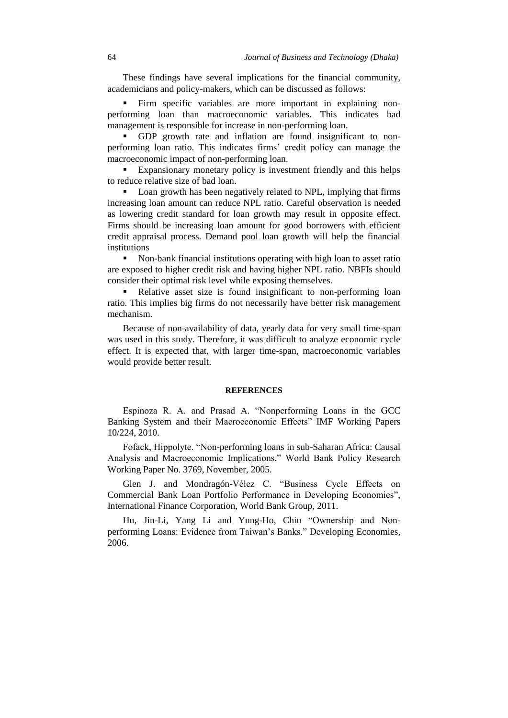These findings have several implications for the financial community, academicians and policy-makers, which can be discussed as follows:

 Firm specific variables are more important in explaining nonperforming loan than macroeconomic variables. This indicates bad management is responsible for increase in non-performing loan.

 GDP growth rate and inflation are found insignificant to nonperforming loan ratio. This indicates firms" credit policy can manage the macroeconomic impact of non-performing loan.

 Expansionary monetary policy is investment friendly and this helps to reduce relative size of bad loan.

• Loan growth has been negatively related to NPL, implying that firms increasing loan amount can reduce NPL ratio. Careful observation is needed as lowering credit standard for loan growth may result in opposite effect. Firms should be increasing loan amount for good borrowers with efficient credit appraisal process. Demand pool loan growth will help the financial institutions

• Non-bank financial institutions operating with high loan to asset ratio are exposed to higher credit risk and having higher NPL ratio. NBFIs should consider their optimal risk level while exposing themselves.

 Relative asset size is found insignificant to non-performing loan ratio. This implies big firms do not necessarily have better risk management mechanism.

Because of non-availability of data, yearly data for very small time-span was used in this study. Therefore, it was difficult to analyze economic cycle effect. It is expected that, with larger time-span, macroeconomic variables would provide better result.

### **REFERENCES**

Espinoza R. A. and Prasad A. "Nonperforming Loans in the GCC Banking System and their Macroeconomic Effects" IMF Working Papers 10/224, 2010.

Fofack, Hippolyte. "Non-performing loans in sub-Saharan Africa: Causal Analysis and Macroeconomic Implications." World Bank Policy Research Working Paper No. 3769, November, 2005.

Glen J. and Mondragón-Vélez C. "Business Cycle Effects on Commercial Bank Loan Portfolio Performance in Developing Economies", International Finance Corporation, World Bank Group, 2011.

Hu, Jin-Li, Yang Li and Yung-Ho, Chiu "Ownership and Nonperforming Loans: Evidence from Taiwan"s Banks." Developing Economies, 2006.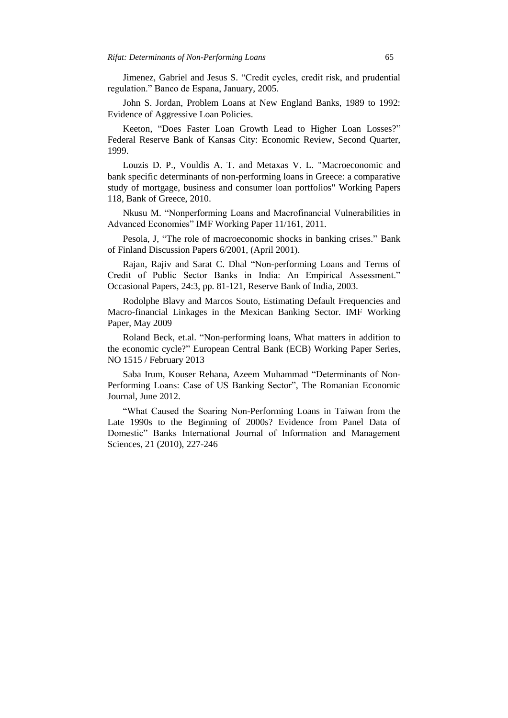Jimenez, Gabriel and Jesus S. "Credit cycles, credit risk, and prudential regulation." Banco de Espana, January, 2005.

John S. Jordan, Problem Loans at New England Banks, 1989 to 1992: Evidence of Aggressive Loan Policies.

Keeton, "Does Faster Loan Growth Lead to Higher Loan Losses?" Federal Reserve Bank of Kansas City: Economic Review, Second Quarter, 1999.

Louzis D. P., Vouldis A. T. and Metaxas V. L. "Macroeconomic and bank specific determinants of non-performing loans in Greece: a comparative study of mortgage, business and consumer loan portfolios" Working Papers 118, Bank of Greece, 2010.

Nkusu M. "Nonperforming Loans and Macrofinancial Vulnerabilities in Advanced Economies" IMF Working Paper 11/161, 2011.

Pesola, J, "The role of macroeconomic shocks in banking crises." Bank of Finland Discussion Papers 6/2001, (April 2001).

Rajan, Rajiv and Sarat C. Dhal "Non-performing Loans and Terms of Credit of Public Sector Banks in India: An Empirical Assessment." Occasional Papers, 24:3, pp. 81-121, Reserve Bank of India, 2003.

Rodolphe Blavy and Marcos Souto, Estimating Default Frequencies and Macro-financial Linkages in the Mexican Banking Sector. IMF Working Paper, May 2009

Roland Beck, et.al. "Non-performing loans, What matters in addition to the economic cycle?" European Central Bank (ECB) Working Paper Series, NO 1515 / February 2013

Saba Irum, Kouser Rehana, Azeem Muhammad "Determinants of Non-Performing Loans: Case of US Banking Sector", The Romanian Economic Journal, June 2012.

"What Caused the Soaring Non-Performing Loans in Taiwan from the Late 1990s to the Beginning of 2000s? Evidence from Panel Data of Domestic" Banks International Journal of Information and Management Sciences, 21 (2010), 227-246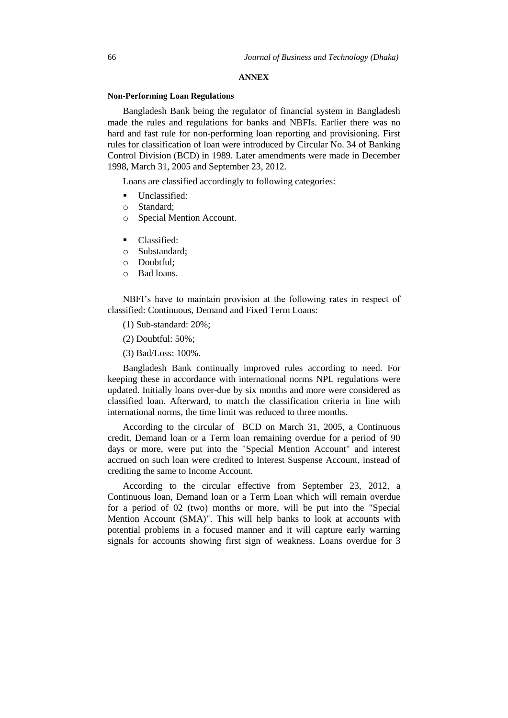#### **ANNEX**

#### **Non-Performing Loan Regulations**

Bangladesh Bank being the regulator of financial system in Bangladesh made the rules and regulations for banks and NBFIs. Earlier there was no hard and fast rule for non-performing loan reporting and provisioning. First rules for classification of loan were introduced by Circular No. 34 of Banking Control Division (BCD) in 1989. Later amendments were made in December 1998, March 31, 2005 and September 23, 2012.

Loans are classified accordingly to following categories:

- Unclassified:
- o Standard;
- o Special Mention Account.
- Classified:
- o Substandard;
- o Doubtful;
- o Bad loans.

NBFI"s have to maintain provision at the following rates in respect of classified: Continuous, Demand and Fixed Term Loans:

(1) Sub-standard: 20%;

(2) Doubtful: 50%;

(3) Bad/Loss: 100%.

Bangladesh Bank continually improved rules according to need. For keeping these in accordance with international norms NPL regulations were updated. Initially loans over-due by six months and more were considered as classified loan. Afterward, to match the classification criteria in line with international norms, the time limit was reduced to three months.

According to the circular of BCD on March 31, 2005, a Continuous credit, Demand loan or a Term loan remaining overdue for a period of 90 days or more, were put into the "Special Mention Account" and interest accrued on such loan were credited to Interest Suspense Account, instead of crediting the same to Income Account.

According to the circular effective from September 23, 2012, a Continuous loan, Demand loan or a Term Loan which will remain overdue for a period of 02 (two) months or more, will be put into the "Special Mention Account (SMA)". This will help banks to look at accounts with potential problems in a focused manner and it will capture early warning signals for accounts showing first sign of weakness. Loans overdue for 3